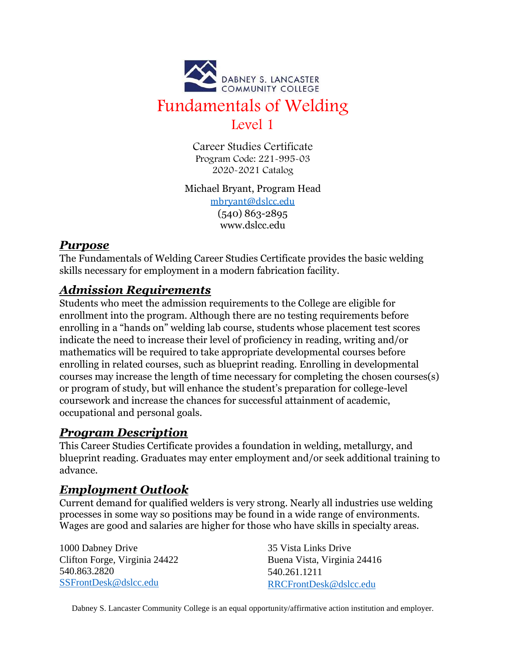

Career Studies Certificate Program Code: 221-995-03 2020-2021 Catalog

Michael Bryant, Program Head [mbryant@dslcc.edu](mailto:mbryant@dslcc.edu) (540) 863-2895 www.dslcc.edu

### *Purpose*

The Fundamentals of Welding Career Studies Certificate provides the basic welding skills necessary for employment in a modern fabrication facility.

## *Admission Requirements*

Students who meet the admission requirements to the College are eligible for enrollment into the program. Although there are no testing requirements before enrolling in a "hands on" welding lab course, students whose placement test scores indicate the need to increase their level of proficiency in reading, writing and/or mathematics will be required to take appropriate developmental courses before enrolling in related courses, such as blueprint reading. Enrolling in developmental courses may increase the length of time necessary for completing the chosen courses(s) or program of study, but will enhance the student's preparation for college-level coursework and increase the chances for successful attainment of academic, occupational and personal goals.

# *Program Description*

This Career Studies Certificate provides a foundation in welding, metallurgy, and blueprint reading. Graduates may enter employment and/or seek additional training to advance.

## *Employment Outlook*

Current demand for qualified welders is very strong. Nearly all industries use welding processes in some way so positions may be found in a wide range of environments. Wages are good and salaries are higher for those who have skills in specialty areas.

1000 Dabney Drive Clifton Forge, Virginia 24422 540.863.2820 [SSFrontDesk@dslcc.edu](mailto:SSFrontDesk@dslcc.edu)

35 Vista Links Drive Buena Vista, Virginia 24416 540.261.1211 [RRCFrontDesk@dslcc.edu](mailto:RRCFrontDesk@dslcc.edu)

Dabney S. Lancaster Community College is an equal opportunity/affirmative action institution and employer.